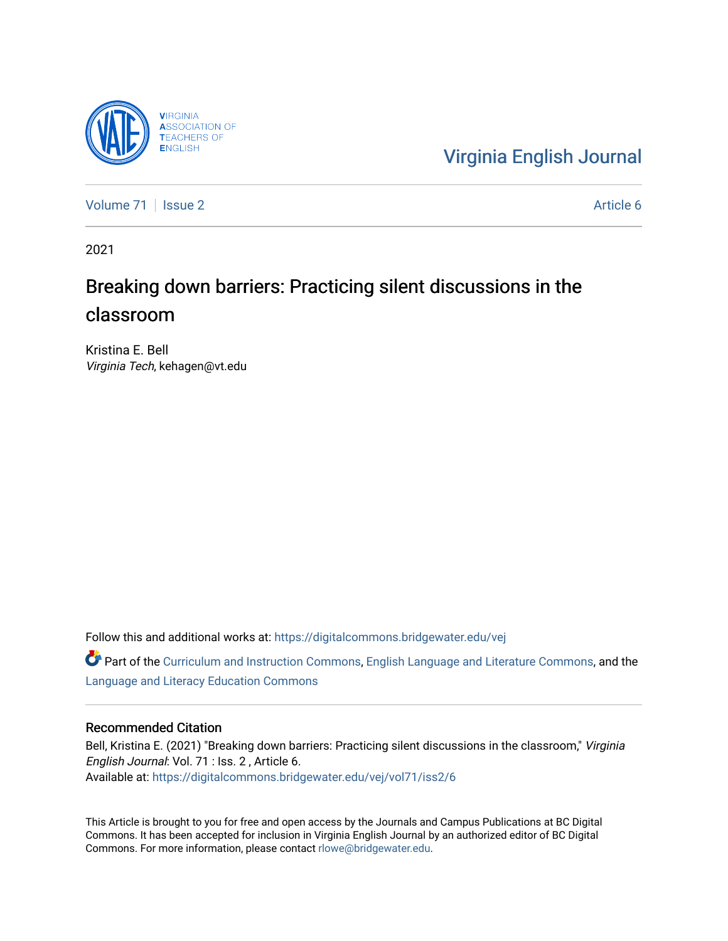

[Virginia English Journal](https://digitalcommons.bridgewater.edu/vej) 

[Volume 71](https://digitalcommons.bridgewater.edu/vej/vol71) | [Issue 2](https://digitalcommons.bridgewater.edu/vej/vol71/iss2) Article 6

2021

# Breaking down barriers: Practicing silent discussions in the classroom

Kristina E. Bell Virginia Tech, kehagen@vt.edu

Follow this and additional works at: [https://digitalcommons.bridgewater.edu/vej](https://digitalcommons.bridgewater.edu/vej?utm_source=digitalcommons.bridgewater.edu%2Fvej%2Fvol71%2Fiss2%2F6&utm_medium=PDF&utm_campaign=PDFCoverPages) 

**C** Part of the [Curriculum and Instruction Commons,](http://network.bepress.com/hgg/discipline/786?utm_source=digitalcommons.bridgewater.edu%2Fvej%2Fvol71%2Fiss2%2F6&utm_medium=PDF&utm_campaign=PDFCoverPages) [English Language and Literature Commons](http://network.bepress.com/hgg/discipline/455?utm_source=digitalcommons.bridgewater.edu%2Fvej%2Fvol71%2Fiss2%2F6&utm_medium=PDF&utm_campaign=PDFCoverPages), and the [Language and Literacy Education Commons](http://network.bepress.com/hgg/discipline/1380?utm_source=digitalcommons.bridgewater.edu%2Fvej%2Fvol71%2Fiss2%2F6&utm_medium=PDF&utm_campaign=PDFCoverPages) 

#### Recommended Citation

Bell, Kristina E. (2021) "Breaking down barriers: Practicing silent discussions in the classroom," Virginia English Journal: Vol. 71 : Iss. 2 , Article 6. Available at: [https://digitalcommons.bridgewater.edu/vej/vol71/iss2/6](https://digitalcommons.bridgewater.edu/vej/vol71/iss2/6?utm_source=digitalcommons.bridgewater.edu%2Fvej%2Fvol71%2Fiss2%2F6&utm_medium=PDF&utm_campaign=PDFCoverPages) 

This Article is brought to you for free and open access by the Journals and Campus Publications at BC Digital Commons. It has been accepted for inclusion in Virginia English Journal by an authorized editor of BC Digital Commons. For more information, please contact [rlowe@bridgewater.edu](mailto:rlowe@bridgewater.edu).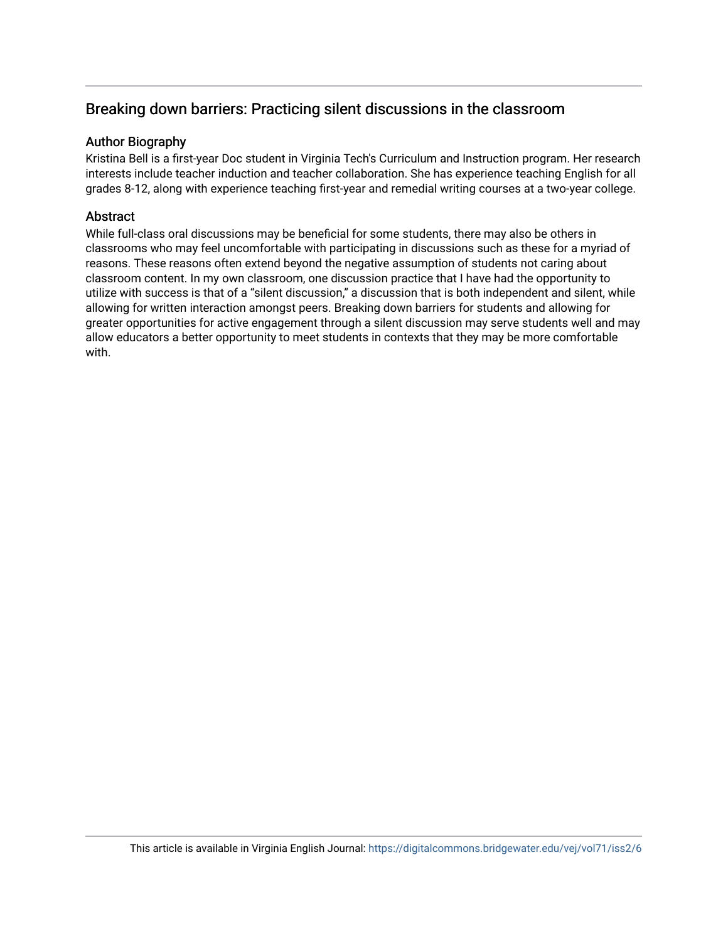# Breaking down barriers: Practicing silent discussions in the classroom

## Author Biography

Kristina Bell is a first-year Doc student in Virginia Tech's Curriculum and Instruction program. Her research interests include teacher induction and teacher collaboration. She has experience teaching English for all grades 8-12, along with experience teaching first-year and remedial writing courses at a two-year college.

# **Abstract**

While full-class oral discussions may be beneficial for some students, there may also be others in classrooms who may feel uncomfortable with participating in discussions such as these for a myriad of reasons. These reasons often extend beyond the negative assumption of students not caring about classroom content. In my own classroom, one discussion practice that I have had the opportunity to utilize with success is that of a "silent discussion," a discussion that is both independent and silent, while allowing for written interaction amongst peers. Breaking down barriers for students and allowing for greater opportunities for active engagement through a silent discussion may serve students well and may allow educators a better opportunity to meet students in contexts that they may be more comfortable with.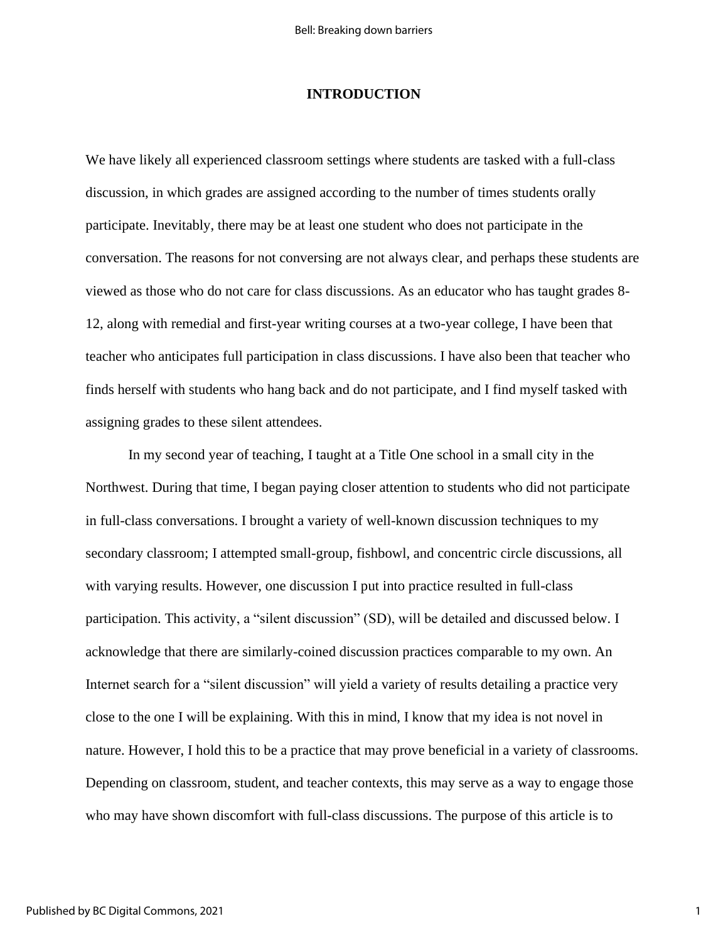#### **INTRODUCTION**

We have likely all experienced classroom settings where students are tasked with a full-class discussion, in which grades are assigned according to the number of times students orally participate. Inevitably, there may be at least one student who does not participate in the conversation. The reasons for not conversing are not always clear, and perhaps these students are viewed as those who do not care for class discussions. As an educator who has taught grades 8- 12, along with remedial and first-year writing courses at a two-year college, I have been that teacher who anticipates full participation in class discussions. I have also been that teacher who finds herself with students who hang back and do not participate, and I find myself tasked with assigning grades to these silent attendees.

In my second year of teaching, I taught at a Title One school in a small city in the Northwest. During that time, I began paying closer attention to students who did not participate in full-class conversations. I brought a variety of well-known discussion techniques to my secondary classroom; I attempted small-group, fishbowl, and concentric circle discussions, all with varying results. However, one discussion I put into practice resulted in full-class participation. This activity, a "silent discussion" (SD), will be detailed and discussed below. I acknowledge that there are similarly-coined discussion practices comparable to my own. An Internet search for a "silent discussion" will yield a variety of results detailing a practice very close to the one I will be explaining. With this in mind, I know that my idea is not novel in nature. However, I hold this to be a practice that may prove beneficial in a variety of classrooms. Depending on classroom, student, and teacher contexts, this may serve as a way to engage those who may have shown discomfort with full-class discussions. The purpose of this article is to

1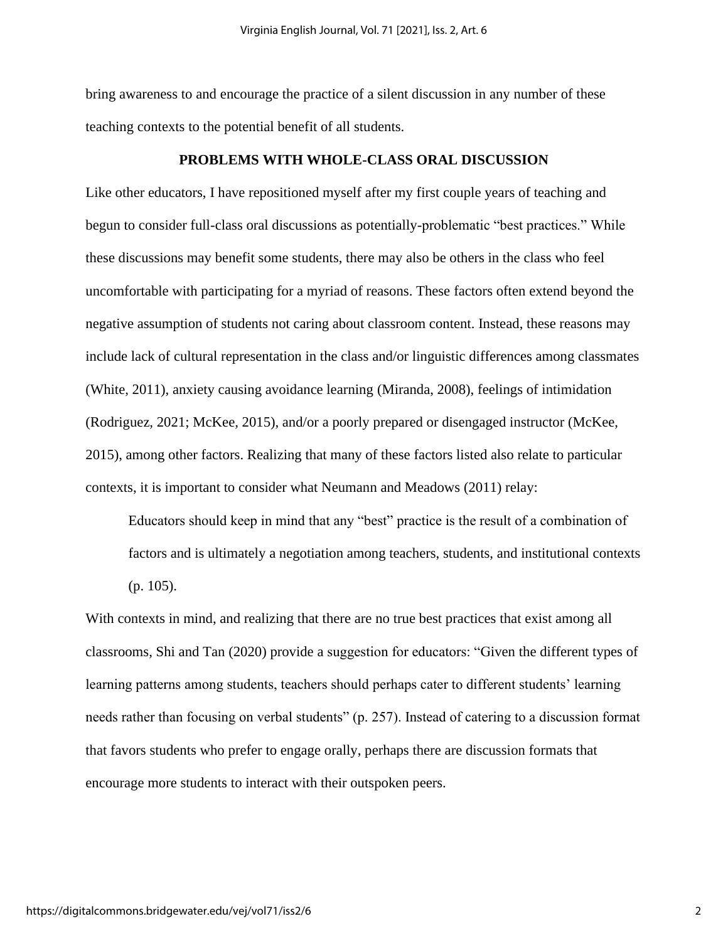bring awareness to and encourage the practice of a silent discussion in any number of these teaching contexts to the potential benefit of all students.

#### **PROBLEMS WITH WHOLE-CLASS ORAL DISCUSSION**

Like other educators, I have repositioned myself after my first couple years of teaching and begun to consider full-class oral discussions as potentially-problematic "best practices." While these discussions may benefit some students, there may also be others in the class who feel uncomfortable with participating for a myriad of reasons. These factors often extend beyond the negative assumption of students not caring about classroom content. Instead, these reasons may include lack of cultural representation in the class and/or linguistic differences among classmates (White, 2011), anxiety causing avoidance learning (Miranda, 2008), feelings of intimidation (Rodriguez, 2021; McKee, 2015), and/or a poorly prepared or disengaged instructor (McKee, 2015), among other factors. Realizing that many of these factors listed also relate to particular contexts, it is important to consider what Neumann and Meadows (2011) relay:

Educators should keep in mind that any "best" practice is the result of a combination of factors and is ultimately a negotiation among teachers, students, and institutional contexts (p. 105).

With contexts in mind, and realizing that there are no true best practices that exist among all classrooms, Shi and Tan (2020) provide a suggestion for educators: "Given the different types of learning patterns among students, teachers should perhaps cater to different students' learning needs rather than focusing on verbal students" (p. 257). Instead of catering to a discussion format that favors students who prefer to engage orally, perhaps there are discussion formats that encourage more students to interact with their outspoken peers.

2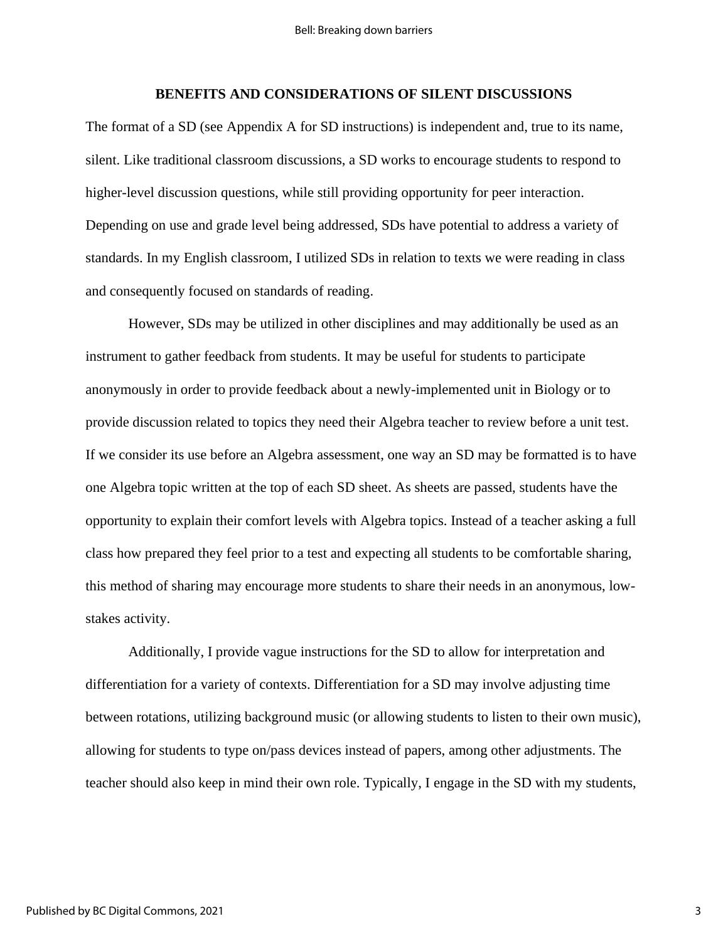#### **BENEFITS AND CONSIDERATIONS OF SILENT DISCUSSIONS**

The format of a SD (see Appendix A for SD instructions) is independent and, true to its name, silent. Like traditional classroom discussions, a SD works to encourage students to respond to higher-level discussion questions, while still providing opportunity for peer interaction. Depending on use and grade level being addressed, SDs have potential to address a variety of standards. In my English classroom, I utilized SDs in relation to texts we were reading in class and consequently focused on standards of reading.

However, SDs may be utilized in other disciplines and may additionally be used as an instrument to gather feedback from students. It may be useful for students to participate anonymously in order to provide feedback about a newly-implemented unit in Biology or to provide discussion related to topics they need their Algebra teacher to review before a unit test. If we consider its use before an Algebra assessment, one way an SD may be formatted is to have one Algebra topic written at the top of each SD sheet. As sheets are passed, students have the opportunity to explain their comfort levels with Algebra topics. Instead of a teacher asking a full class how prepared they feel prior to a test and expecting all students to be comfortable sharing, this method of sharing may encourage more students to share their needs in an anonymous, lowstakes activity.

Additionally, I provide vague instructions for the SD to allow for interpretation and differentiation for a variety of contexts. Differentiation for a SD may involve adjusting time between rotations, utilizing background music (or allowing students to listen to their own music), allowing for students to type on/pass devices instead of papers, among other adjustments. The teacher should also keep in mind their own role. Typically, I engage in the SD with my students,

3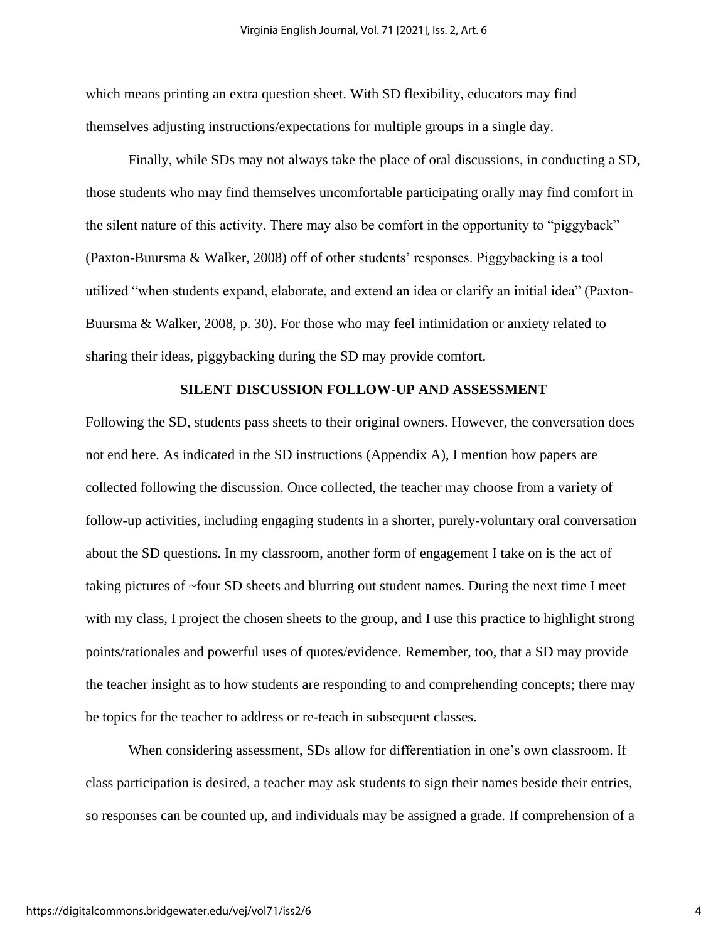which means printing an extra question sheet. With SD flexibility, educators may find themselves adjusting instructions/expectations for multiple groups in a single day.

Finally, while SDs may not always take the place of oral discussions, in conducting a SD, those students who may find themselves uncomfortable participating orally may find comfort in the silent nature of this activity. There may also be comfort in the opportunity to "piggyback" (Paxton-Buursma & Walker, 2008) off of other students' responses. Piggybacking is a tool utilized "when students expand, elaborate, and extend an idea or clarify an initial idea" (Paxton-Buursma & Walker, 2008, p. 30). For those who may feel intimidation or anxiety related to sharing their ideas, piggybacking during the SD may provide comfort.

#### **SILENT DISCUSSION FOLLOW-UP AND ASSESSMENT**

Following the SD, students pass sheets to their original owners. However, the conversation does not end here. As indicated in the SD instructions (Appendix A), I mention how papers are collected following the discussion. Once collected, the teacher may choose from a variety of follow-up activities, including engaging students in a shorter, purely-voluntary oral conversation about the SD questions. In my classroom, another form of engagement I take on is the act of taking pictures of ~four SD sheets and blurring out student names. During the next time I meet with my class, I project the chosen sheets to the group, and I use this practice to highlight strong points/rationales and powerful uses of quotes/evidence. Remember, too, that a SD may provide the teacher insight as to how students are responding to and comprehending concepts; there may be topics for the teacher to address or re-teach in subsequent classes.

When considering assessment, SDs allow for differentiation in one's own classroom. If class participation is desired, a teacher may ask students to sign their names beside their entries, so responses can be counted up, and individuals may be assigned a grade. If comprehension of a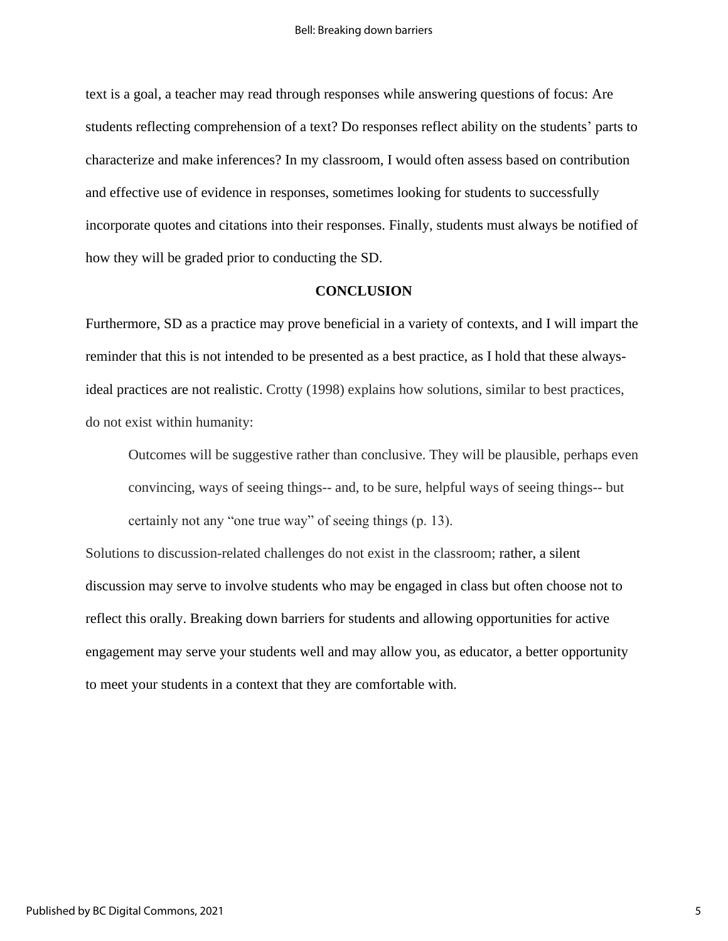text is a goal, a teacher may read through responses while answering questions of focus: Are students reflecting comprehension of a text? Do responses reflect ability on the students' parts to characterize and make inferences? In my classroom, I would often assess based on contribution and effective use of evidence in responses, sometimes looking for students to successfully incorporate quotes and citations into their responses. Finally, students must always be notified of how they will be graded prior to conducting the SD.

#### **CONCLUSION**

Furthermore, SD as a practice may prove beneficial in a variety of contexts, and I will impart the reminder that this is not intended to be presented as a best practice, as I hold that these alwaysideal practices are not realistic. Crotty (1998) explains how solutions, similar to best practices, do not exist within humanity:

Outcomes will be suggestive rather than conclusive. They will be plausible, perhaps even convincing, ways of seeing things-- and, to be sure, helpful ways of seeing things-- but certainly not any "one true way" of seeing things (p. 13).

Solutions to discussion-related challenges do not exist in the classroom; rather, a silent discussion may serve to involve students who may be engaged in class but often choose not to reflect this orally. Breaking down barriers for students and allowing opportunities for active engagement may serve your students well and may allow you, as educator, a better opportunity to meet your students in a context that they are comfortable with.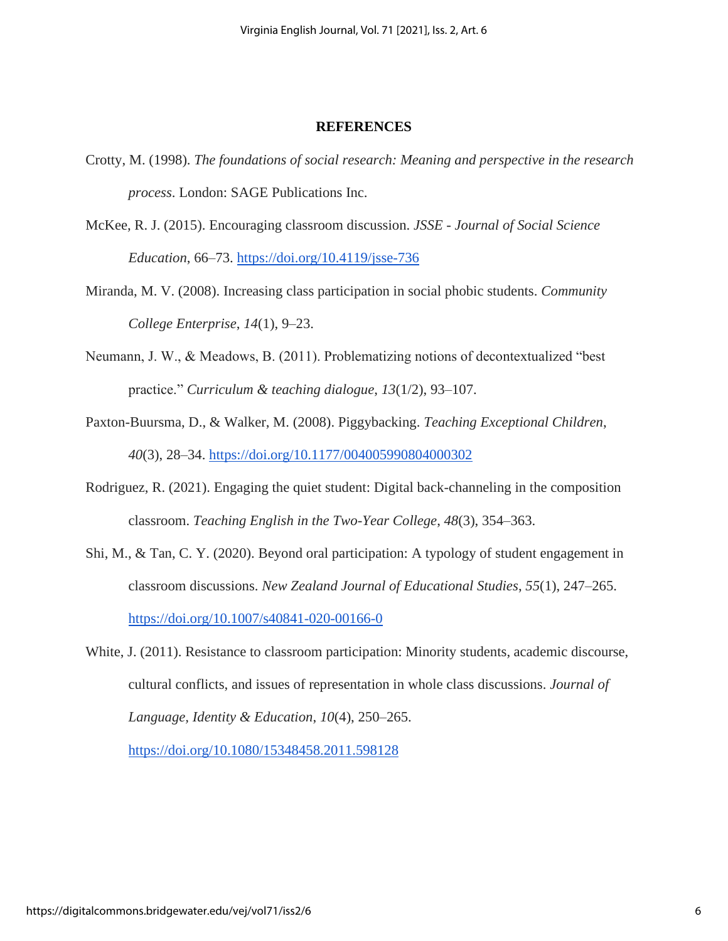#### **REFERENCES**

- Crotty, M. (1998). *The foundations of social research: Meaning and perspective in the research process*. London: SAGE Publications Inc.
- McKee, R. J. (2015). Encouraging classroom discussion. *JSSE - Journal of Social Science Education*, 66–73. <https://doi.org/10.4119/jsse-736>
- Miranda, M. V. (2008). Increasing class participation in social phobic students. *Community College Enterprise*, *14*(1), 9–23.
- Neumann, J. W., & Meadows, B. (2011). Problematizing notions of decontextualized "best practice." *Curriculum & teaching dialogue*, *13*(1/2), 93–107.
- Paxton-Buursma, D., & Walker, M. (2008). Piggybacking. *Teaching Exceptional Children*, *40*(3), 28–34. <https://doi.org/10.1177/004005990804000302>
- Rodriguez, R. (2021). Engaging the quiet student: Digital back-channeling in the composition classroom. *Teaching English in the Two-Year College*, *48*(3), 354–363.
- Shi, M., & Tan, C. Y. (2020). Beyond oral participation: A typology of student engagement in classroom discussions. *New Zealand Journal of Educational Studies*, *55*(1), 247–265[.](https://doi.org/10.1007/s40841-020-00166-0) <https://doi.org/10.1007/s40841-020-00166-0>
- White, J. (2011). Resistance to classroom participation: Minority students, academic discourse, cultural conflicts, and issues of representation in whole class discussions. *Journal of Language, Identity & Education*, *10*(4), 250–265[.](https://doi.org/10.1080/15348458.2011.598128)

<https://doi.org/10.1080/15348458.2011.598128>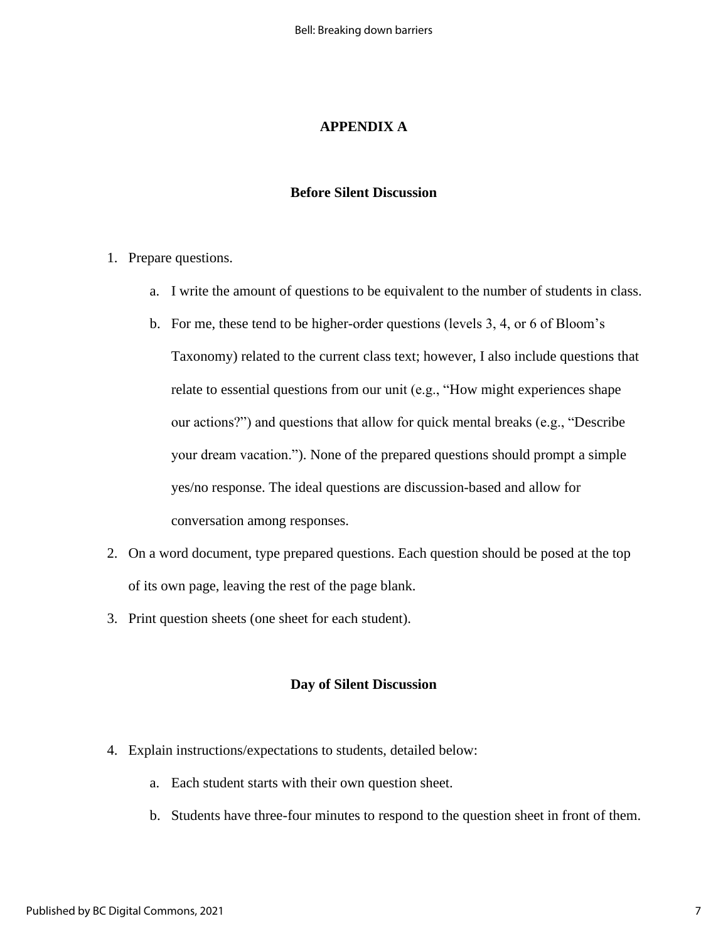## **APPENDIX A**

#### **Before Silent Discussion**

- 1. Prepare questions.
	- a. I write the amount of questions to be equivalent to the number of students in class.
	- b. For me, these tend to be higher-order questions (levels 3, 4, or 6 of Bloom's Taxonomy) related to the current class text; however, I also include questions that relate to essential questions from our unit (e.g., "How might experiences shape our actions?") and questions that allow for quick mental breaks (e.g., "Describe your dream vacation."). None of the prepared questions should prompt a simple yes/no response. The ideal questions are discussion-based and allow for conversation among responses.
- 2. On a word document, type prepared questions. Each question should be posed at the top of its own page, leaving the rest of the page blank.
- 3. Print question sheets (one sheet for each student).

#### **Day of Silent Discussion**

- 4. Explain instructions/expectations to students, detailed below:
	- a. Each student starts with their own question sheet.
	- b. Students have three-four minutes to respond to the question sheet in front of them.